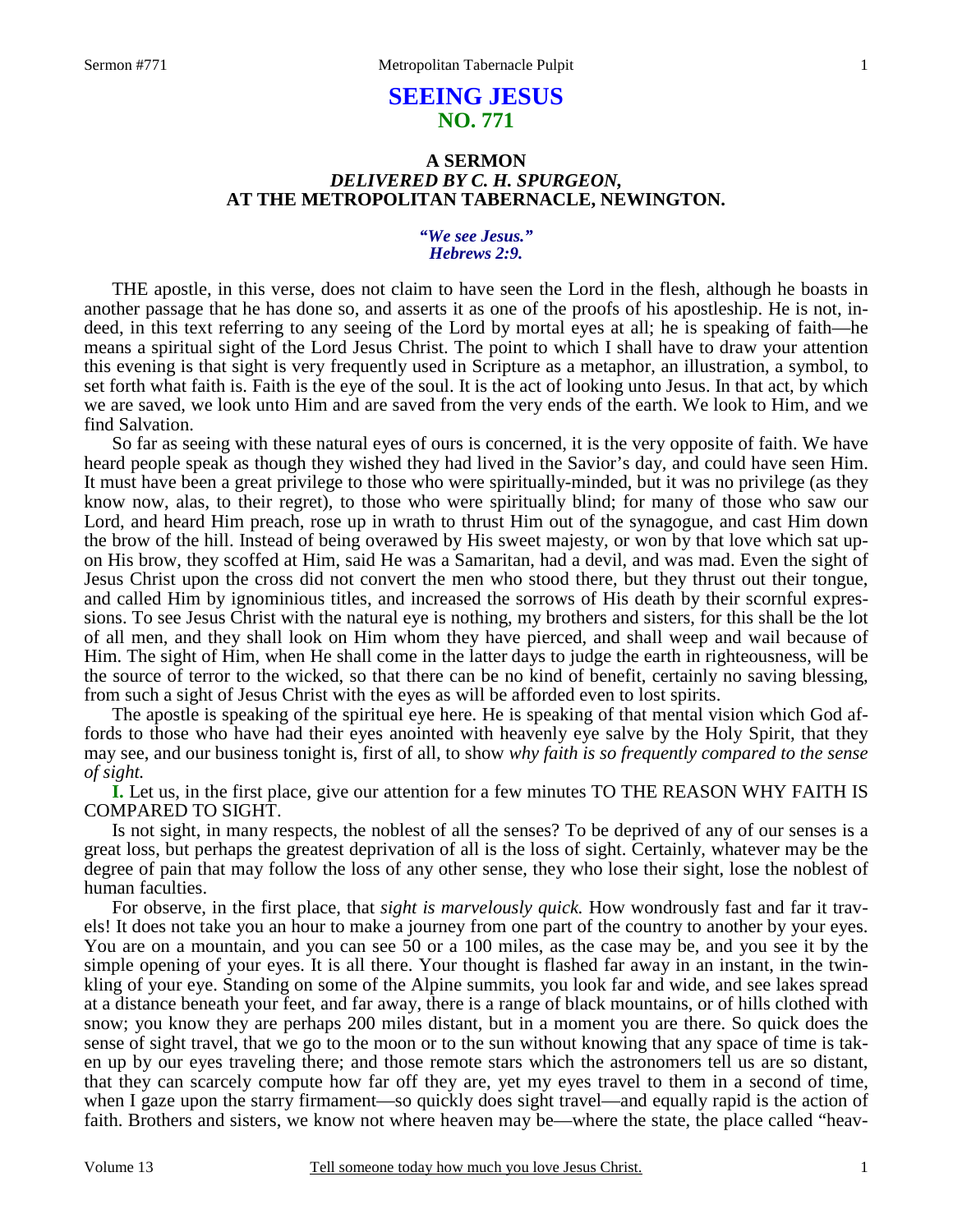# **SEEING JESUS NO. 771**

### **A SERMON**  *DELIVERED BY C. H. SPURGEON,*  **AT THE METROPOLITAN TABERNACLE, NEWINGTON.**

#### *"We see Jesus." Hebrews 2:9.*

THE apostle, in this verse, does not claim to have seen the Lord in the flesh, although he boasts in another passage that he has done so, and asserts it as one of the proofs of his apostleship. He is not, indeed, in this text referring to any seeing of the Lord by mortal eyes at all; he is speaking of faith—he means a spiritual sight of the Lord Jesus Christ. The point to which I shall have to draw your attention this evening is that sight is very frequently used in Scripture as a metaphor, an illustration, a symbol, to set forth what faith is. Faith is the eye of the soul. It is the act of looking unto Jesus. In that act, by which we are saved, we look unto Him and are saved from the very ends of the earth. We look to Him, and we find Salvation.

 So far as seeing with these natural eyes of ours is concerned, it is the very opposite of faith. We have heard people speak as though they wished they had lived in the Savior's day, and could have seen Him. It must have been a great privilege to those who were spiritually-minded, but it was no privilege (as they know now, alas, to their regret), to those who were spiritually blind; for many of those who saw our Lord, and heard Him preach, rose up in wrath to thrust Him out of the synagogue, and cast Him down the brow of the hill. Instead of being overawed by His sweet majesty, or won by that love which sat upon His brow, they scoffed at Him, said He was a Samaritan, had a devil, and was mad. Even the sight of Jesus Christ upon the cross did not convert the men who stood there, but they thrust out their tongue, and called Him by ignominious titles, and increased the sorrows of His death by their scornful expressions. To see Jesus Christ with the natural eye is nothing, my brothers and sisters, for this shall be the lot of all men, and they shall look on Him whom they have pierced, and shall weep and wail because of Him. The sight of Him, when He shall come in the latter days to judge the earth in righteousness, will be the source of terror to the wicked, so that there can be no kind of benefit, certainly no saving blessing, from such a sight of Jesus Christ with the eyes as will be afforded even to lost spirits.

 The apostle is speaking of the spiritual eye here. He is speaking of that mental vision which God affords to those who have had their eyes anointed with heavenly eye salve by the Holy Spirit, that they may see, and our business tonight is, first of all, to show *why faith is so frequently compared to the sense of sight.*

**I.** Let us, in the first place, give our attention for a few minutes TO THE REASON WHY FAITH IS COMPARED TO SIGHT.

 Is not sight, in many respects, the noblest of all the senses? To be deprived of any of our senses is a great loss, but perhaps the greatest deprivation of all is the loss of sight. Certainly, whatever may be the degree of pain that may follow the loss of any other sense, they who lose their sight, lose the noblest of human faculties.

 For observe, in the first place, that *sight is marvelously quick.* How wondrously fast and far it travels! It does not take you an hour to make a journey from one part of the country to another by your eyes. You are on a mountain, and you can see 50 or a 100 miles, as the case may be, and you see it by the simple opening of your eyes. It is all there. Your thought is flashed far away in an instant, in the twinkling of your eye. Standing on some of the Alpine summits, you look far and wide, and see lakes spread at a distance beneath your feet, and far away, there is a range of black mountains, or of hills clothed with snow; you know they are perhaps 200 miles distant, but in a moment you are there. So quick does the sense of sight travel, that we go to the moon or to the sun without knowing that any space of time is taken up by our eyes traveling there; and those remote stars which the astronomers tell us are so distant, that they can scarcely compute how far off they are, yet my eyes travel to them in a second of time, when I gaze upon the starry firmament—so quickly does sight travel—and equally rapid is the action of faith. Brothers and sisters, we know not where heaven may be—where the state, the place called "heav-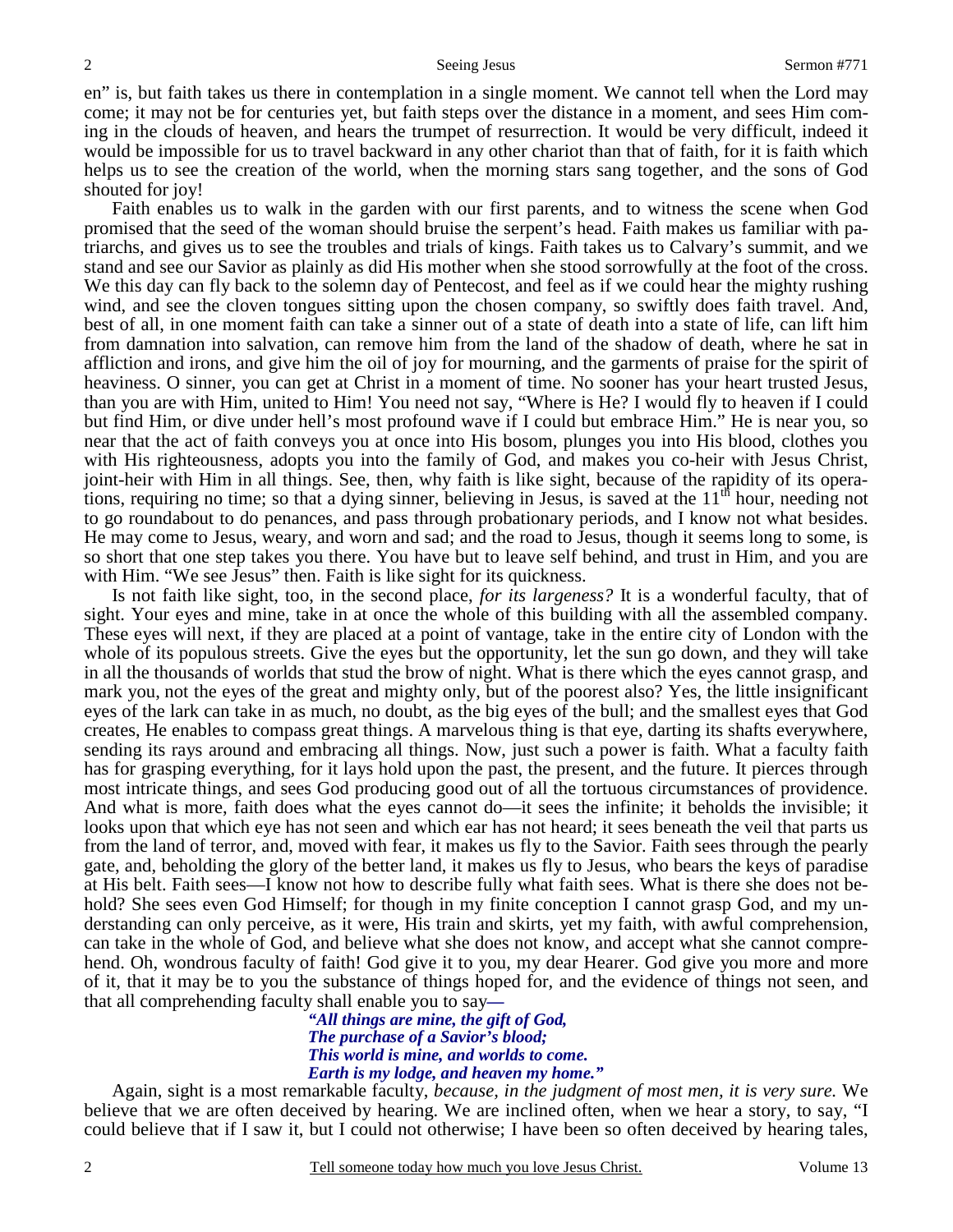#### Seeing Jesus Sermon #771

en" is, but faith takes us there in contemplation in a single moment. We cannot tell when the Lord may come; it may not be for centuries yet, but faith steps over the distance in a moment, and sees Him coming in the clouds of heaven, and hears the trumpet of resurrection. It would be very difficult, indeed it would be impossible for us to travel backward in any other chariot than that of faith, for it is faith which helps us to see the creation of the world, when the morning stars sang together, and the sons of God shouted for joy!

 Faith enables us to walk in the garden with our first parents, and to witness the scene when God promised that the seed of the woman should bruise the serpent's head. Faith makes us familiar with patriarchs, and gives us to see the troubles and trials of kings. Faith takes us to Calvary's summit, and we stand and see our Savior as plainly as did His mother when she stood sorrowfully at the foot of the cross. We this day can fly back to the solemn day of Pentecost, and feel as if we could hear the mighty rushing wind, and see the cloven tongues sitting upon the chosen company, so swiftly does faith travel. And, best of all, in one moment faith can take a sinner out of a state of death into a state of life, can lift him from damnation into salvation, can remove him from the land of the shadow of death, where he sat in affliction and irons, and give him the oil of joy for mourning, and the garments of praise for the spirit of heaviness. O sinner, you can get at Christ in a moment of time. No sooner has your heart trusted Jesus, than you are with Him, united to Him! You need not say, "Where is He? I would fly to heaven if I could but find Him, or dive under hell's most profound wave if I could but embrace Him." He is near you, so near that the act of faith conveys you at once into His bosom, plunges you into His blood, clothes you with His righteousness, adopts you into the family of God, and makes you co-heir with Jesus Christ, joint-heir with Him in all things. See, then, why faith is like sight, because of the rapidity of its operations, requiring no time; so that a dying sinner, believing in Jesus, is saved at the  $11<sup>th</sup>$  hour, needing not to go roundabout to do penances, and pass through probationary periods, and I know not what besides. He may come to Jesus, weary, and worn and sad; and the road to Jesus, though it seems long to some, is so short that one step takes you there. You have but to leave self behind, and trust in Him, and you are with Him. "We see Jesus" then. Faith is like sight for its quickness.

 Is not faith like sight, too, in the second place, *for its largeness?* It is a wonderful faculty, that of sight. Your eyes and mine, take in at once the whole of this building with all the assembled company. These eyes will next, if they are placed at a point of vantage, take in the entire city of London with the whole of its populous streets. Give the eyes but the opportunity, let the sun go down, and they will take in all the thousands of worlds that stud the brow of night. What is there which the eyes cannot grasp, and mark you, not the eyes of the great and mighty only, but of the poorest also? Yes, the little insignificant eyes of the lark can take in as much, no doubt, as the big eyes of the bull; and the smallest eyes that God creates, He enables to compass great things. A marvelous thing is that eye, darting its shafts everywhere, sending its rays around and embracing all things. Now, just such a power is faith. What a faculty faith has for grasping everything, for it lays hold upon the past, the present, and the future. It pierces through most intricate things, and sees God producing good out of all the tortuous circumstances of providence. And what is more, faith does what the eyes cannot do—it sees the infinite; it beholds the invisible; it looks upon that which eye has not seen and which ear has not heard; it sees beneath the veil that parts us from the land of terror, and, moved with fear, it makes us fly to the Savior. Faith sees through the pearly gate, and, beholding the glory of the better land, it makes us fly to Jesus, who bears the keys of paradise at His belt. Faith sees—I know not how to describe fully what faith sees. What is there she does not behold? She sees even God Himself; for though in my finite conception I cannot grasp God, and my understanding can only perceive, as it were, His train and skirts, yet my faith, with awful comprehension, can take in the whole of God, and believe what she does not know, and accept what she cannot comprehend. Oh, wondrous faculty of faith! God give it to you, my dear Hearer. God give you more and more of it, that it may be to you the substance of things hoped for, and the evidence of things not seen, and that all comprehending faculty shall enable you to say*—* 

*"All things are mine, the gift of God, The purchase of a Savior's blood; This world is mine, and worlds to come. Earth is my lodge, and heaven my home."* 

 Again, sight is a most remarkable faculty, *because, in the judgment of most men, it is very sure.* We believe that we are often deceived by hearing. We are inclined often, when we hear a story, to say, "I could believe that if I saw it, but I could not otherwise; I have been so often deceived by hearing tales,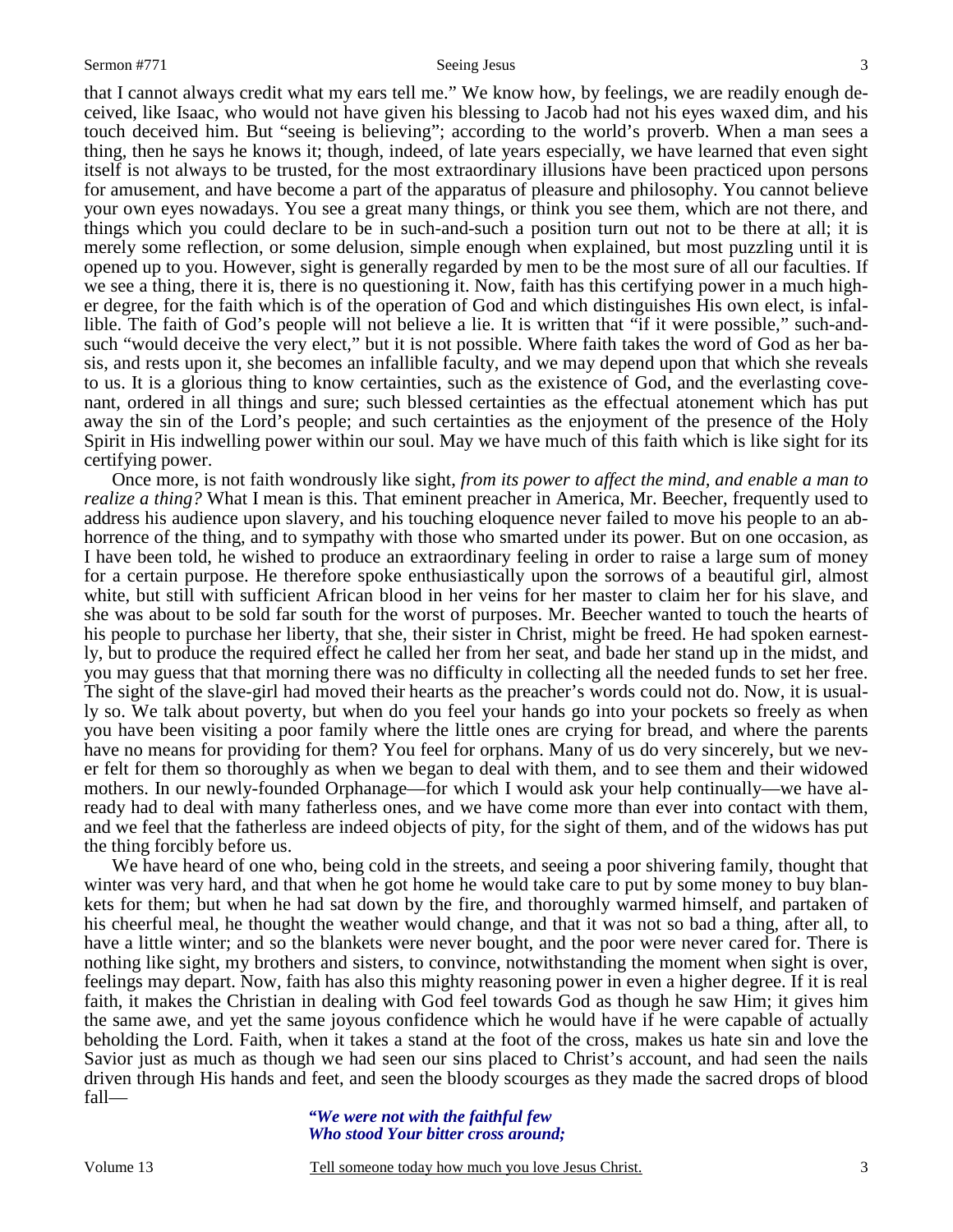that I cannot always credit what my ears tell me." We know how, by feelings, we are readily enough deceived, like Isaac, who would not have given his blessing to Jacob had not his eyes waxed dim, and his touch deceived him. But "seeing is believing"; according to the world's proverb. When a man sees a thing, then he says he knows it; though, indeed, of late years especially, we have learned that even sight itself is not always to be trusted, for the most extraordinary illusions have been practiced upon persons for amusement, and have become a part of the apparatus of pleasure and philosophy. You cannot believe your own eyes nowadays. You see a great many things, or think you see them, which are not there, and things which you could declare to be in such-and-such a position turn out not to be there at all; it is merely some reflection, or some delusion, simple enough when explained, but most puzzling until it is opened up to you. However, sight is generally regarded by men to be the most sure of all our faculties. If we see a thing, there it is, there is no questioning it. Now, faith has this certifying power in a much higher degree, for the faith which is of the operation of God and which distinguishes His own elect, is infallible. The faith of God's people will not believe a lie. It is written that "if it were possible," such-andsuch "would deceive the very elect," but it is not possible. Where faith takes the word of God as her basis, and rests upon it, she becomes an infallible faculty, and we may depend upon that which she reveals to us. It is a glorious thing to know certainties, such as the existence of God, and the everlasting covenant, ordered in all things and sure; such blessed certainties as the effectual atonement which has put away the sin of the Lord's people; and such certainties as the enjoyment of the presence of the Holy Spirit in His indwelling power within our soul. May we have much of this faith which is like sight for its certifying power.

 Once more, is not faith wondrously like sight, *from its power to affect the mind, and enable a man to realize a thing?* What I mean is this. That eminent preacher in America, Mr. Beecher, frequently used to address his audience upon slavery, and his touching eloquence never failed to move his people to an abhorrence of the thing, and to sympathy with those who smarted under its power. But on one occasion, as I have been told, he wished to produce an extraordinary feeling in order to raise a large sum of money for a certain purpose. He therefore spoke enthusiastically upon the sorrows of a beautiful girl, almost white, but still with sufficient African blood in her veins for her master to claim her for his slave, and she was about to be sold far south for the worst of purposes. Mr. Beecher wanted to touch the hearts of his people to purchase her liberty, that she, their sister in Christ, might be freed. He had spoken earnestly, but to produce the required effect he called her from her seat, and bade her stand up in the midst, and you may guess that that morning there was no difficulty in collecting all the needed funds to set her free. The sight of the slave-girl had moved their hearts as the preacher's words could not do. Now, it is usually so. We talk about poverty, but when do you feel your hands go into your pockets so freely as when you have been visiting a poor family where the little ones are crying for bread, and where the parents have no means for providing for them? You feel for orphans. Many of us do very sincerely, but we never felt for them so thoroughly as when we began to deal with them, and to see them and their widowed mothers. In our newly-founded Orphanage—for which I would ask your help continually—we have already had to deal with many fatherless ones, and we have come more than ever into contact with them, and we feel that the fatherless are indeed objects of pity, for the sight of them, and of the widows has put the thing forcibly before us.

We have heard of one who, being cold in the streets, and seeing a poor shivering family, thought that winter was very hard, and that when he got home he would take care to put by some money to buy blankets for them; but when he had sat down by the fire, and thoroughly warmed himself, and partaken of his cheerful meal, he thought the weather would change, and that it was not so bad a thing, after all, to have a little winter; and so the blankets were never bought, and the poor were never cared for. There is nothing like sight, my brothers and sisters, to convince, notwithstanding the moment when sight is over, feelings may depart. Now, faith has also this mighty reasoning power in even a higher degree. If it is real faith, it makes the Christian in dealing with God feel towards God as though he saw Him; it gives him the same awe, and yet the same joyous confidence which he would have if he were capable of actually beholding the Lord. Faith, when it takes a stand at the foot of the cross, makes us hate sin and love the Savior just as much as though we had seen our sins placed to Christ's account, and had seen the nails driven through His hands and feet, and seen the bloody scourges as they made the sacred drops of blood fall—

> *"We were not with the faithful few Who stood Your bitter cross around;*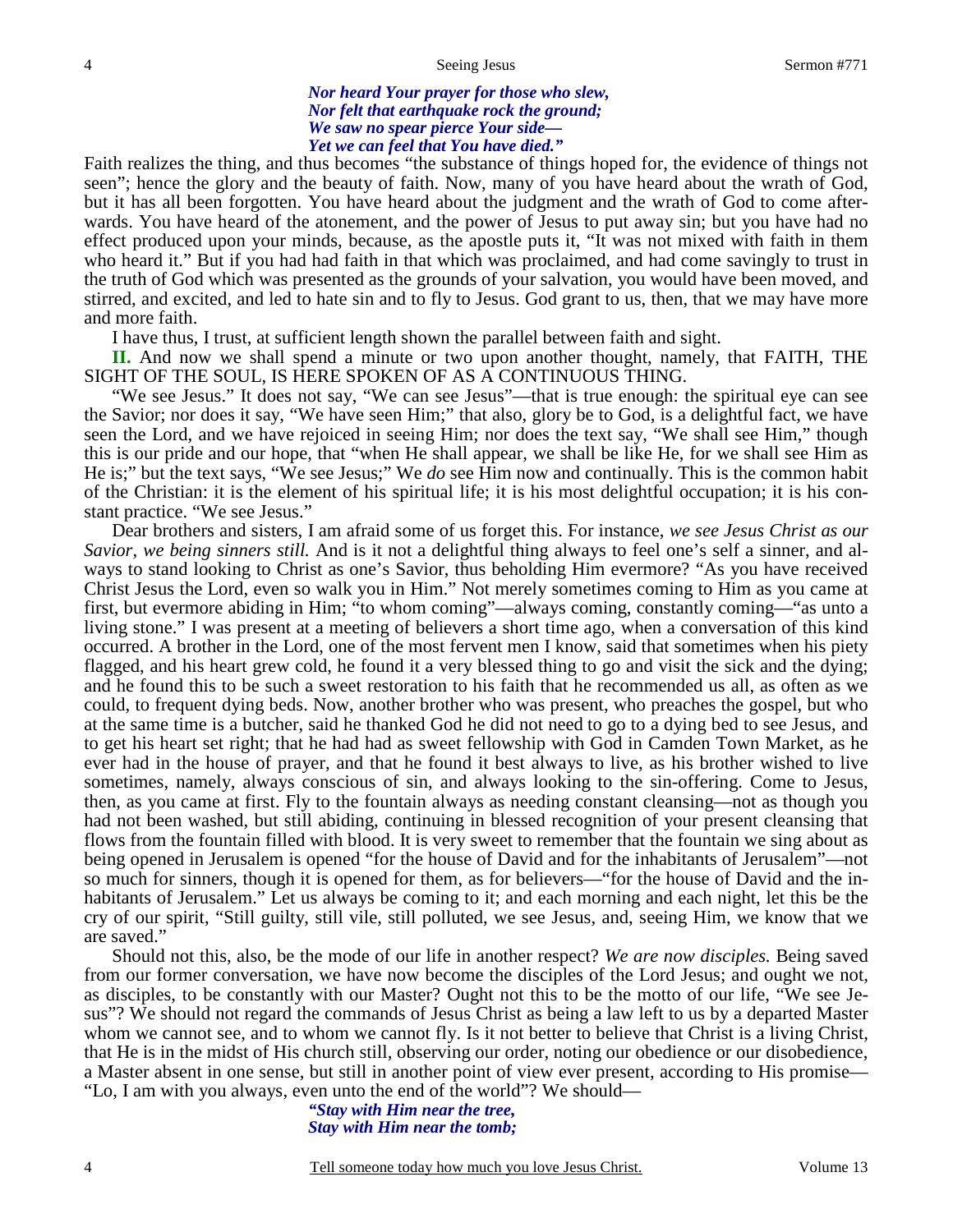*Nor heard Your prayer for those who slew, Nor felt that earthquake rock the ground; We saw no spear pierce Your side— Yet we can feel that You have died."* 

Faith realizes the thing, and thus becomes "the substance of things hoped for, the evidence of things not seen"; hence the glory and the beauty of faith. Now, many of you have heard about the wrath of God, but it has all been forgotten. You have heard about the judgment and the wrath of God to come afterwards. You have heard of the atonement, and the power of Jesus to put away sin; but you have had no effect produced upon your minds, because, as the apostle puts it, "It was not mixed with faith in them who heard it." But if you had had faith in that which was proclaimed, and had come savingly to trust in the truth of God which was presented as the grounds of your salvation, you would have been moved, and stirred, and excited, and led to hate sin and to fly to Jesus. God grant to us, then, that we may have more and more faith.

I have thus, I trust, at sufficient length shown the parallel between faith and sight.

**II.** And now we shall spend a minute or two upon another thought, namely, that FAITH, THE SIGHT OF THE SOUL, IS HERE SPOKEN OF AS A CONTINUOUS THING.

 "We see Jesus." It does not say, "We can see Jesus"—that is true enough: the spiritual eye can see the Savior; nor does it say, "We have seen Him;" that also, glory be to God, is a delightful fact, we have seen the Lord, and we have rejoiced in seeing Him; nor does the text say, "We shall see Him," though this is our pride and our hope, that "when He shall appear, we shall be like He, for we shall see Him as He is;" but the text says, "We see Jesus;" We *do* see Him now and continually. This is the common habit of the Christian: it is the element of his spiritual life; it is his most delightful occupation; it is his constant practice. "We see Jesus."

 Dear brothers and sisters, I am afraid some of us forget this. For instance, *we see Jesus Christ as our Savior, we being sinners still.* And is it not a delightful thing always to feel one's self a sinner, and always to stand looking to Christ as one's Savior, thus beholding Him evermore? "As you have received Christ Jesus the Lord, even so walk you in Him." Not merely sometimes coming to Him as you came at first, but evermore abiding in Him; "to whom coming"—always coming, constantly coming—"as unto a living stone." I was present at a meeting of believers a short time ago, when a conversation of this kind occurred. A brother in the Lord, one of the most fervent men I know, said that sometimes when his piety flagged, and his heart grew cold, he found it a very blessed thing to go and visit the sick and the dying; and he found this to be such a sweet restoration to his faith that he recommended us all, as often as we could, to frequent dying beds. Now, another brother who was present, who preaches the gospel, but who at the same time is a butcher, said he thanked God he did not need to go to a dying bed to see Jesus, and to get his heart set right; that he had had as sweet fellowship with God in Camden Town Market, as he ever had in the house of prayer, and that he found it best always to live, as his brother wished to live sometimes, namely, always conscious of sin, and always looking to the sin-offering. Come to Jesus, then, as you came at first. Fly to the fountain always as needing constant cleansing—not as though you had not been washed, but still abiding, continuing in blessed recognition of your present cleansing that flows from the fountain filled with blood. It is very sweet to remember that the fountain we sing about as being opened in Jerusalem is opened "for the house of David and for the inhabitants of Jerusalem"—not so much for sinners, though it is opened for them, as for believers—"for the house of David and the inhabitants of Jerusalem." Let us always be coming to it; and each morning and each night, let this be the cry of our spirit, "Still guilty, still vile, still polluted, we see Jesus, and, seeing Him, we know that we are saved."

 Should not this, also, be the mode of our life in another respect? *We are now disciples.* Being saved from our former conversation, we have now become the disciples of the Lord Jesus; and ought we not, as disciples, to be constantly with our Master? Ought not this to be the motto of our life, "We see Jesus"? We should not regard the commands of Jesus Christ as being a law left to us by a departed Master whom we cannot see, and to whom we cannot fly. Is it not better to believe that Christ is a living Christ, that He is in the midst of His church still, observing our order, noting our obedience or our disobedience, a Master absent in one sense, but still in another point of view ever present, according to His promise— "Lo, I am with you always, even unto the end of the world"? We should—

> *"Stay with Him near the tree, Stay with Him near the tomb;*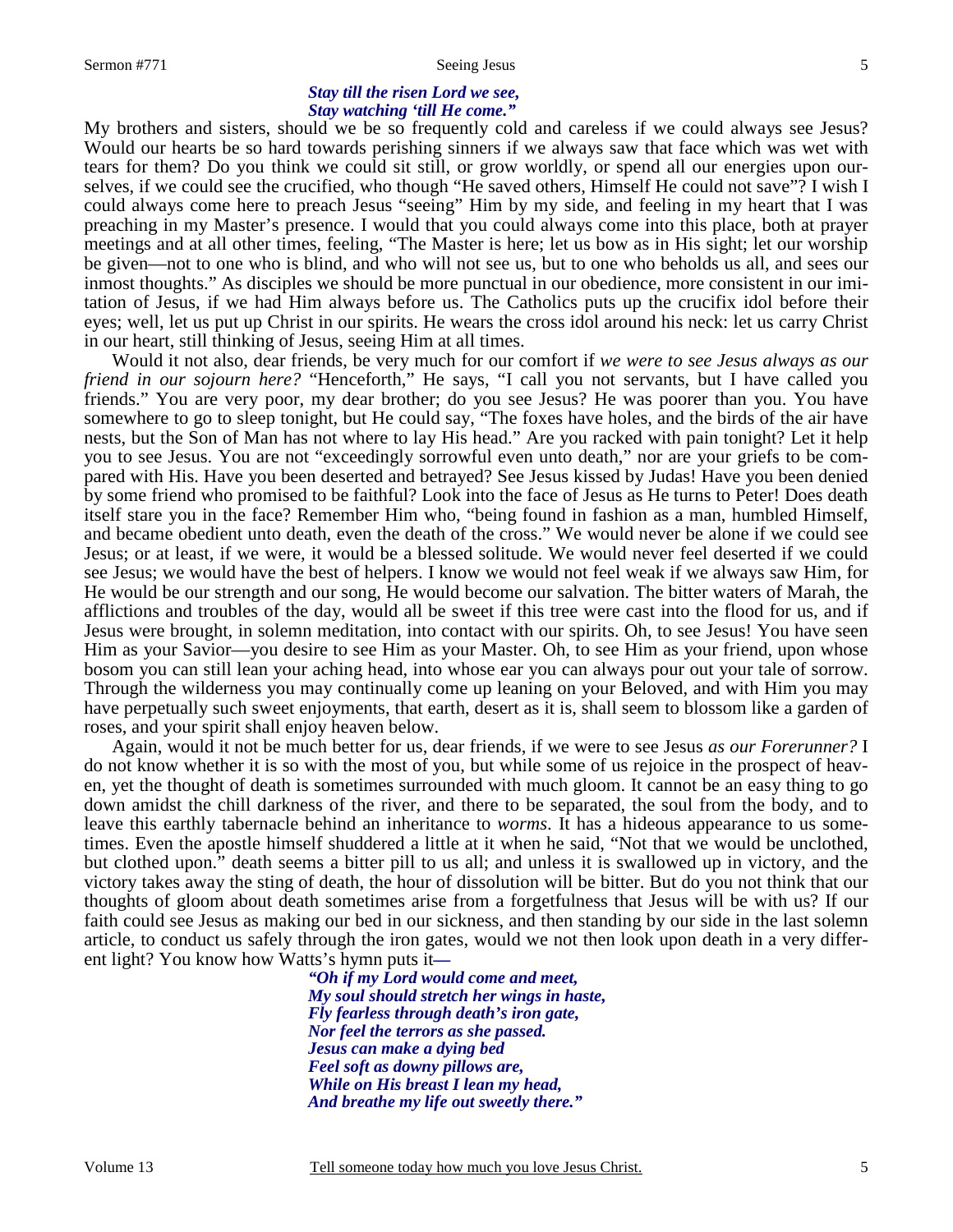### *Stay till the risen Lord we see, Stay watching 'till He come."*

My brothers and sisters, should we be so frequently cold and careless if we could always see Jesus? Would our hearts be so hard towards perishing sinners if we always saw that face which was wet with tears for them? Do you think we could sit still, or grow worldly, or spend all our energies upon ourselves, if we could see the crucified, who though "He saved others, Himself He could not save"? I wish I could always come here to preach Jesus "seeing" Him by my side, and feeling in my heart that I was preaching in my Master's presence. I would that you could always come into this place, both at prayer meetings and at all other times, feeling, "The Master is here; let us bow as in His sight; let our worship be given—not to one who is blind, and who will not see us, but to one who beholds us all, and sees our inmost thoughts." As disciples we should be more punctual in our obedience, more consistent in our imitation of Jesus, if we had Him always before us. The Catholics puts up the crucifix idol before their eyes; well, let us put up Christ in our spirits. He wears the cross idol around his neck: let us carry Christ in our heart, still thinking of Jesus, seeing Him at all times.

 Would it not also, dear friends, be very much for our comfort if *we were to see Jesus always as our friend in our sojourn here?* "Henceforth," He says, "I call you not servants, but I have called you friends." You are very poor, my dear brother; do you see Jesus? He was poorer than you. You have somewhere to go to sleep tonight, but He could say, "The foxes have holes, and the birds of the air have nests, but the Son of Man has not where to lay His head." Are you racked with pain tonight? Let it help you to see Jesus. You are not "exceedingly sorrowful even unto death," nor are your griefs to be compared with His. Have you been deserted and betrayed? See Jesus kissed by Judas! Have you been denied by some friend who promised to be faithful? Look into the face of Jesus as He turns to Peter! Does death itself stare you in the face? Remember Him who, "being found in fashion as a man, humbled Himself, and became obedient unto death, even the death of the cross." We would never be alone if we could see Jesus; or at least, if we were, it would be a blessed solitude. We would never feel deserted if we could see Jesus; we would have the best of helpers. I know we would not feel weak if we always saw Him, for He would be our strength and our song, He would become our salvation. The bitter waters of Marah, the afflictions and troubles of the day, would all be sweet if this tree were cast into the flood for us, and if Jesus were brought, in solemn meditation, into contact with our spirits. Oh, to see Jesus! You have seen Him as your Savior—you desire to see Him as your Master. Oh, to see Him as your friend, upon whose bosom you can still lean your aching head, into whose ear you can always pour out your tale of sorrow. Through the wilderness you may continually come up leaning on your Beloved, and with Him you may have perpetually such sweet enjoyments, that earth, desert as it is, shall seem to blossom like a garden of roses, and your spirit shall enjoy heaven below.

 Again, would it not be much better for us, dear friends, if we were to see Jesus *as our Forerunner?* I do not know whether it is so with the most of you, but while some of us rejoice in the prospect of heaven, yet the thought of death is sometimes surrounded with much gloom. It cannot be an easy thing to go down amidst the chill darkness of the river, and there to be separated, the soul from the body, and to leave this earthly tabernacle behind an inheritance to *worms*. It has a hideous appearance to us sometimes. Even the apostle himself shuddered a little at it when he said, "Not that we would be unclothed, but clothed upon." death seems a bitter pill to us all; and unless it is swallowed up in victory, and the victory takes away the sting of death, the hour of dissolution will be bitter. But do you not think that our thoughts of gloom about death sometimes arise from a forgetfulness that Jesus will be with us? If our faith could see Jesus as making our bed in our sickness, and then standing by our side in the last solemn article, to conduct us safely through the iron gates, would we not then look upon death in a very different light? You know how Watts's hymn puts it*—* 

*"Oh if my Lord would come and meet, My soul should stretch her wings in haste, Fly fearless through death's iron gate, Nor feel the terrors as she passed. Jesus can make a dying bed Feel soft as downy pillows are, While on His breast I lean my head, And breathe my life out sweetly there."*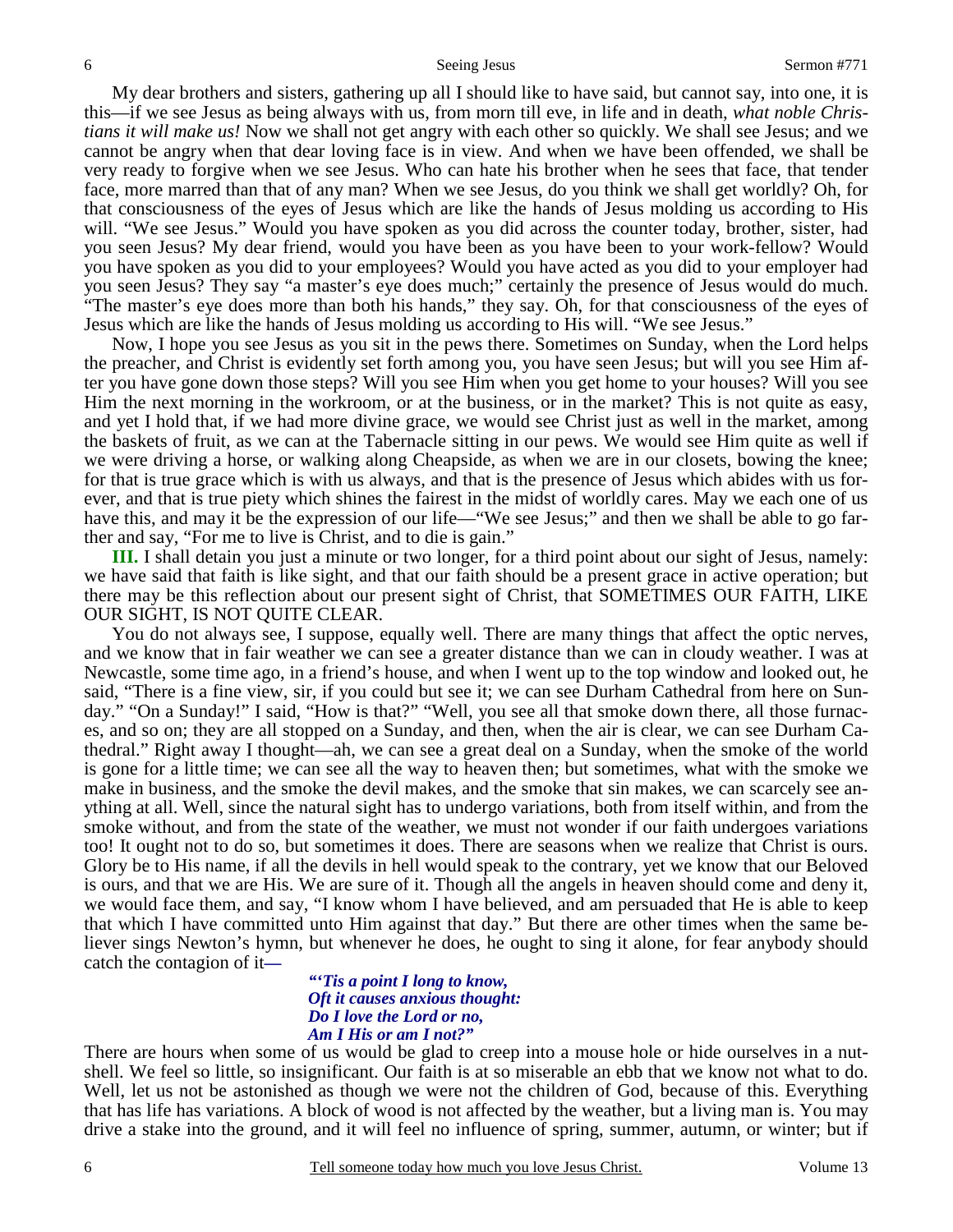My dear brothers and sisters, gathering up all I should like to have said, but cannot say, into one, it is this—if we see Jesus as being always with us, from morn till eve, in life and in death, *what noble Christians it will make us!* Now we shall not get angry with each other so quickly. We shall see Jesus; and we cannot be angry when that dear loving face is in view. And when we have been offended, we shall be very ready to forgive when we see Jesus. Who can hate his brother when he sees that face, that tender face, more marred than that of any man? When we see Jesus, do you think we shall get worldly? Oh, for that consciousness of the eyes of Jesus which are like the hands of Jesus molding us according to His will. "We see Jesus." Would you have spoken as you did across the counter today, brother, sister, had you seen Jesus? My dear friend, would you have been as you have been to your work-fellow? Would you have spoken as you did to your employees? Would you have acted as you did to your employer had you seen Jesus? They say "a master's eye does much;" certainly the presence of Jesus would do much. "The master's eye does more than both his hands," they say. Oh, for that consciousness of the eyes of Jesus which are like the hands of Jesus molding us according to His will. "We see Jesus."

 Now, I hope you see Jesus as you sit in the pews there. Sometimes on Sunday, when the Lord helps the preacher, and Christ is evidently set forth among you, you have seen Jesus; but will you see Him after you have gone down those steps? Will you see Him when you get home to your houses? Will you see Him the next morning in the workroom, or at the business, or in the market? This is not quite as easy, and yet I hold that, if we had more divine grace, we would see Christ just as well in the market, among the baskets of fruit, as we can at the Tabernacle sitting in our pews. We would see Him quite as well if we were driving a horse, or walking along Cheapside, as when we are in our closets, bowing the knee; for that is true grace which is with us always, and that is the presence of Jesus which abides with us forever, and that is true piety which shines the fairest in the midst of worldly cares. May we each one of us have this, and may it be the expression of our life—"We see Jesus;" and then we shall be able to go farther and say, "For me to live is Christ, and to die is gain."

**III.** I shall detain you just a minute or two longer, for a third point about our sight of Jesus, namely: we have said that faith is like sight, and that our faith should be a present grace in active operation; but there may be this reflection about our present sight of Christ, that SOMETIMES OUR FAITH, LIKE OUR SIGHT, IS NOT QUITE CLEAR.

 You do not always see, I suppose, equally well. There are many things that affect the optic nerves, and we know that in fair weather we can see a greater distance than we can in cloudy weather. I was at Newcastle, some time ago, in a friend's house, and when I went up to the top window and looked out, he said, "There is a fine view, sir, if you could but see it; we can see Durham Cathedral from here on Sunday." "On a Sunday!" I said, "How is that?" "Well, you see all that smoke down there, all those furnaces, and so on; they are all stopped on a Sunday, and then, when the air is clear, we can see Durham Cathedral." Right away I thought—ah, we can see a great deal on a Sunday, when the smoke of the world is gone for a little time; we can see all the way to heaven then; but sometimes, what with the smoke we make in business, and the smoke the devil makes, and the smoke that sin makes, we can scarcely see anything at all. Well, since the natural sight has to undergo variations, both from itself within, and from the smoke without, and from the state of the weather, we must not wonder if our faith undergoes variations too! It ought not to do so, but sometimes it does. There are seasons when we realize that Christ is ours. Glory be to His name, if all the devils in hell would speak to the contrary, yet we know that our Beloved is ours, and that we are His. We are sure of it. Though all the angels in heaven should come and deny it, we would face them, and say, "I know whom I have believed, and am persuaded that He is able to keep that which I have committed unto Him against that day." But there are other times when the same believer sings Newton's hymn, but whenever he does, he ought to sing it alone, for fear anybody should catch the contagion of it*—* 

#### *"'Tis a point I long to know, Oft it causes anxious thought: Do I love the Lord or no, Am I His or am I not?"*

There are hours when some of us would be glad to creep into a mouse hole or hide ourselves in a nutshell. We feel so little, so insignificant. Our faith is at so miserable an ebb that we know not what to do. Well, let us not be astonished as though we were not the children of God, because of this. Everything that has life has variations. A block of wood is not affected by the weather, but a living man is. You may drive a stake into the ground, and it will feel no influence of spring, summer, autumn, or winter; but if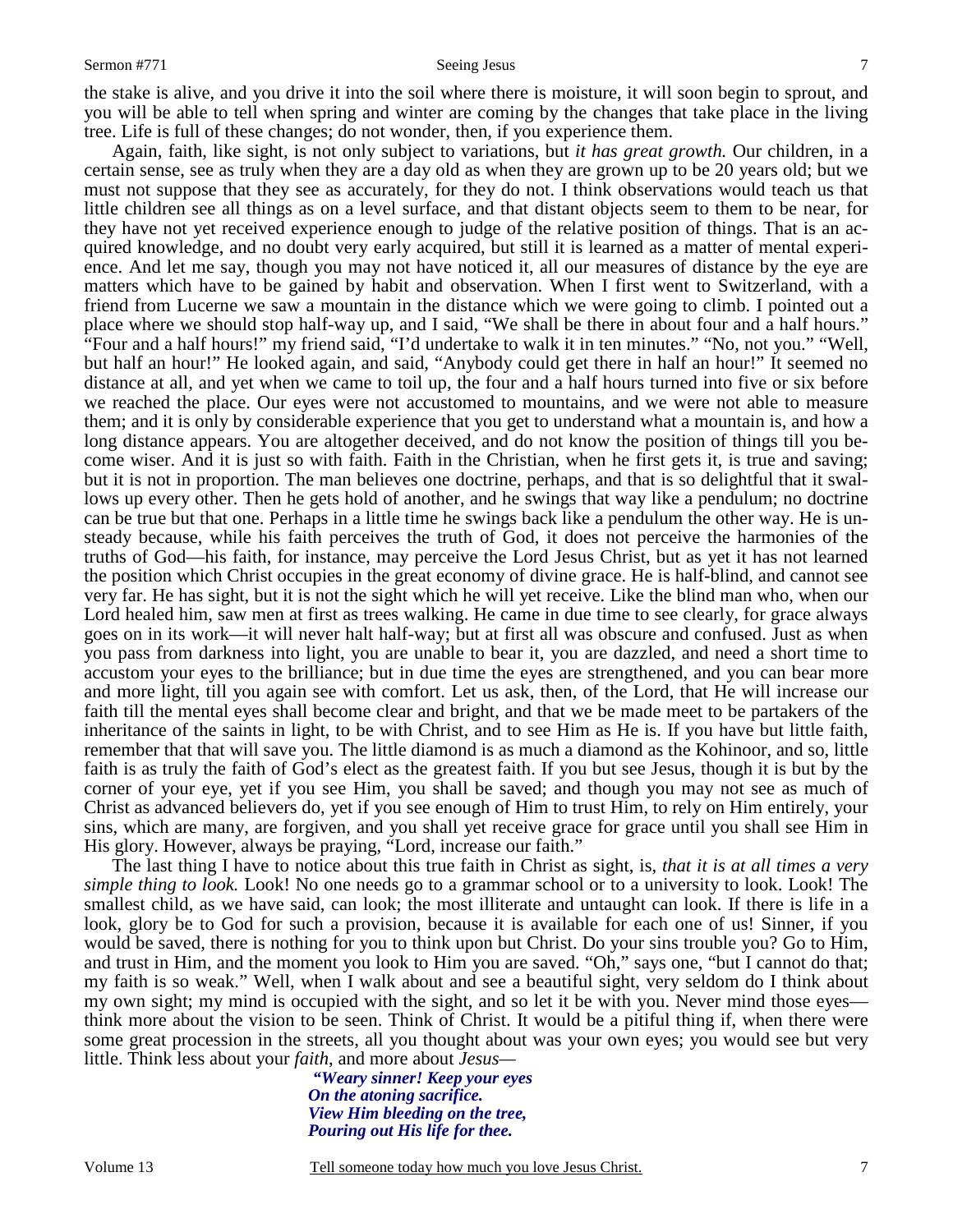7

the stake is alive, and you drive it into the soil where there is moisture, it will soon begin to sprout, and you will be able to tell when spring and winter are coming by the changes that take place in the living tree. Life is full of these changes; do not wonder, then, if you experience them.

 Again, faith, like sight, is not only subject to variations, but *it has great growth.* Our children, in a certain sense, see as truly when they are a day old as when they are grown up to be 20 years old; but we must not suppose that they see as accurately, for they do not. I think observations would teach us that little children see all things as on a level surface, and that distant objects seem to them to be near, for they have not yet received experience enough to judge of the relative position of things. That is an acquired knowledge, and no doubt very early acquired, but still it is learned as a matter of mental experience. And let me say, though you may not have noticed it, all our measures of distance by the eye are matters which have to be gained by habit and observation. When I first went to Switzerland, with a friend from Lucerne we saw a mountain in the distance which we were going to climb. I pointed out a place where we should stop half-way up, and I said, "We shall be there in about four and a half hours." "Four and a half hours!" my friend said, "I'd undertake to walk it in ten minutes." "No, not you." "Well, but half an hour!" He looked again, and said, "Anybody could get there in half an hour!" It seemed no distance at all, and yet when we came to toil up, the four and a half hours turned into five or six before we reached the place. Our eyes were not accustomed to mountains, and we were not able to measure them; and it is only by considerable experience that you get to understand what a mountain is, and how a long distance appears. You are altogether deceived, and do not know the position of things till you become wiser. And it is just so with faith. Faith in the Christian, when he first gets it, is true and saving; but it is not in proportion. The man believes one doctrine, perhaps, and that is so delightful that it swallows up every other. Then he gets hold of another, and he swings that way like a pendulum; no doctrine can be true but that one. Perhaps in a little time he swings back like a pendulum the other way. He is unsteady because, while his faith perceives the truth of God, it does not perceive the harmonies of the truths of God—his faith, for instance, may perceive the Lord Jesus Christ, but as yet it has not learned the position which Christ occupies in the great economy of divine grace. He is half-blind, and cannot see very far. He has sight, but it is not the sight which he will yet receive. Like the blind man who, when our Lord healed him, saw men at first as trees walking. He came in due time to see clearly, for grace always goes on in its work—it will never halt half-way; but at first all was obscure and confused. Just as when you pass from darkness into light, you are unable to bear it, you are dazzled, and need a short time to accustom your eyes to the brilliance; but in due time the eyes are strengthened, and you can bear more and more light, till you again see with comfort. Let us ask, then, of the Lord, that He will increase our faith till the mental eyes shall become clear and bright, and that we be made meet to be partakers of the inheritance of the saints in light, to be with Christ, and to see Him as He is. If you have but little faith, remember that that will save you. The little diamond is as much a diamond as the Kohinoor, and so, little faith is as truly the faith of God's elect as the greatest faith. If you but see Jesus, though it is but by the corner of your eye, yet if you see Him, you shall be saved; and though you may not see as much of Christ as advanced believers do, yet if you see enough of Him to trust Him, to rely on Him entirely, your sins, which are many, are forgiven, and you shall yet receive grace for grace until you shall see Him in His glory. However, always be praying, "Lord, increase our faith."

 The last thing I have to notice about this true faith in Christ as sight, is, *that it is at all times a very simple thing to look.* Look! No one needs go to a grammar school or to a university to look. Look! The smallest child, as we have said, can look; the most illiterate and untaught can look. If there is life in a look, glory be to God for such a provision, because it is available for each one of us! Sinner, if you would be saved, there is nothing for you to think upon but Christ. Do your sins trouble you? Go to Him, and trust in Him, and the moment you look to Him you are saved. "Oh," says one, "but I cannot do that; my faith is so weak." Well, when I walk about and see a beautiful sight, very seldom do I think about my own sight; my mind is occupied with the sight, and so let it be with you. Never mind those eyes think more about the vision to be seen. Think of Christ. It would be a pitiful thing if, when there were some great procession in the streets, all you thought about was your own eyes; you would see but very little. Think less about your *faith*, and more about *Jesus—* 

> *"Weary sinner! Keep your eyes On the atoning sacrifice. View Him bleeding on the tree, Pouring out His life for thee.*